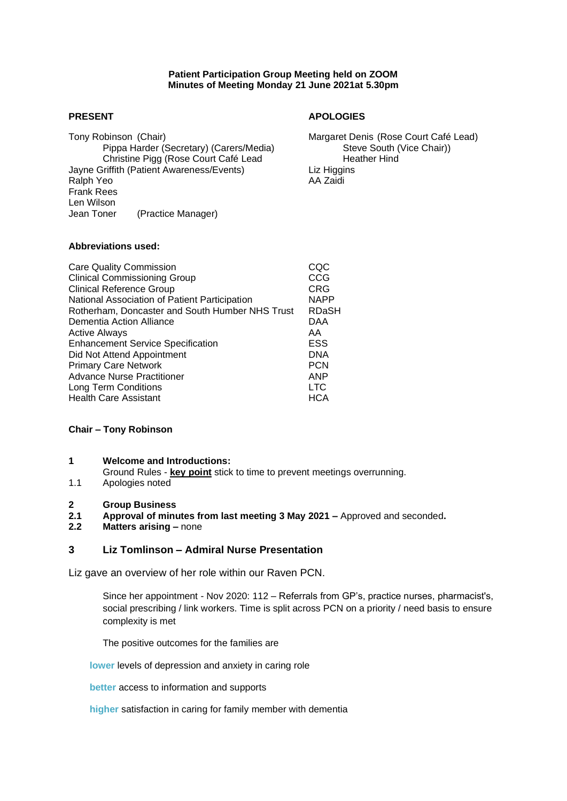## **Patient Participation Group Meeting held on ZOOM Minutes of Meeting Monday 21 June 2021at 5.30pm**

Tony Robinson (Chair)<br>
Pippa Harder (Secretary) (Carers/Media) Margaret Denis (Rose Court Café Lead)<br>
Steve South (Vice Chair)) Pippa Harder (Secretary) (Carers/Media) Steve South (Vice Chair)) Christine Pigg (Rose Court Café Lead Jayne Griffith (Patient Awareness/Events) Liz Higgins Ralph Yeo AA Zaidi Frank Rees Len Wilson<br>Jean Toner (Practice Manager)

## **PRESENT APOLOGIES**

## **Abbreviations used:**

| <b>Care Quality Commission</b><br><b>Clinical Commissioning Group</b><br><b>Clinical Reference Group</b> | CQC<br>CCG<br>CRG |
|----------------------------------------------------------------------------------------------------------|-------------------|
| National Association of Patient Participation                                                            | <b>NAPP</b>       |
| Rotherham, Doncaster and South Humber NHS Trust                                                          | <b>RDaSH</b>      |
| Dementia Action Alliance                                                                                 | DAA               |
| <b>Active Always</b>                                                                                     | AA                |
| <b>Enhancement Service Specification</b>                                                                 | ESS               |
| Did Not Attend Appointment                                                                               | <b>DNA</b>        |
| <b>Primary Care Network</b>                                                                              | <b>PCN</b>        |
| <b>Advance Nurse Practitioner</b>                                                                        | <b>ANP</b>        |
| Long Term Conditions                                                                                     | <b>LTC</b>        |
| <b>Health Care Assistant</b>                                                                             | <b>HCA</b>        |

#### **Chair – Tony Robinson**

- **1 Welcome and Introductions:** Ground Rules - **key point** stick to time to prevent meetings overrunning.
- 1.1 Apologies noted

#### **2 Group Business**

- **2.1 Approval of minutes from last meeting 3 May 2021 –** Approved and seconded**.**
- **2.2 Matters arising –** none

## **3 Liz Tomlinson – Admiral Nurse Presentation**

Liz gave an overview of her role within our Raven PCN.

Since her appointment - Nov 2020: 112 – Referrals from GP's, practice nurses, pharmacist's, social prescribing / link workers. Time is split across PCN on a priority / need basis to ensure complexity is met

The positive outcomes for the families are

**lower** levels of depression and anxiety in caring role

**better** access to information and supports

**higher** satisfaction in caring for family member with dementia